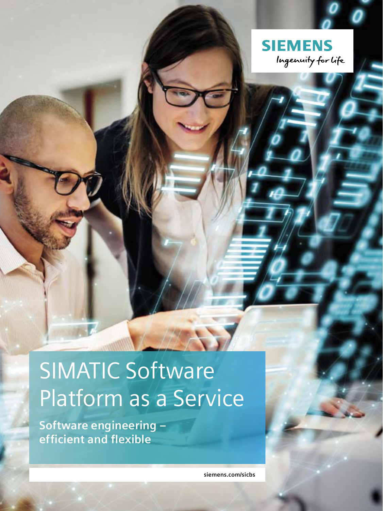

## SIMATIC Software Platform as a Service

**Software engineering – efficient and flexible**

**siemens.com/sicbs**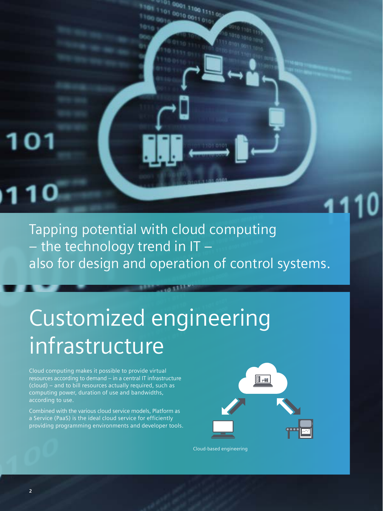Tapping potential with cloud computing – the technology trend in IT – also for design and operation of control systems.

0001 1100 1111 0 10010 0011 010

## Customized engineering infrastructure

Cloud computing makes it possible to provide virtual resources according to demand – in a central IT infrastructure (cloud) – and to bill resources actually required, such as computing power, duration of use and bandwidths, according to use.

Combined with the various cloud service models, Platform as a Service (PaaS) is the ideal cloud service for efficiently providing programming environments and developer tools.



Cloud-based engineering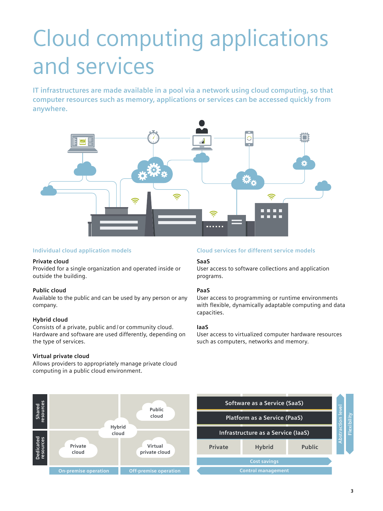## Cloud computing applications and services

**IT infrastructures are made available in a pool via a network using cloud computing, so that computer resources such as memory, applications or services can be accessed quickly from anywhere.**



## **Individual cloud application models**

## **Private cloud**

Provided for a single organization and operated inside or outside the building.

### **Public cloud**

Available to the public and can be used by any person or any company.

### **Hybrid cloud**

Consists of a private, public and / or community cloud. Hardware and software are used differently, depending on the type of services.

### **Virtual private cloud**

Allows providers to appropriately manage private cloud computing in a public cloud environment.

#### **Cloud services for different service models**

### **SaaS**

User access to software collections and application programs.

### **PaaS**

User access to programming or runtime environments with flexible, dynamically adaptable computing and data capacities.

### **IaaS**

User access to virtualized computer hardware resources such as computers, networks and memory.



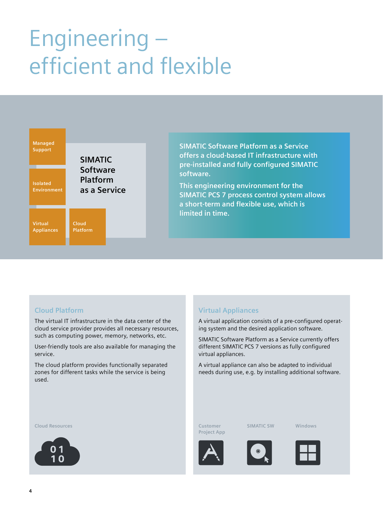# Engineering – efficient and flexible



**SIMATIC Software Platform as a Service offers a cloud-based IT infrastructure with pre-installed and fully configured SIMATIC software.**

**This engineering environment for the SIMATIC PCS 7 process control system allows a short-term and flexible use, which is limited in time.**

## **Cloud Platform**

The virtual IT infrastructure in the data center of the cloud service provider provides all necessary resources, such as computing power, memory, networks, etc.

User-friendly tools are also available for managing the service.

The cloud platform provides functionally separated zones for different tasks while the service is being used.

## **Virtual Appliances**

A virtual application consists of a pre-configured operating system and the desired application software.

SIMATIC Software Platform as a Service currently offers different SIMATIC PCS 7 versions as fully configured virtual appliances.

A virtual appliance can also be adapted to individual needs during use, e.g. by installing additional software.

**Cloud Resources Customer** 



**Project App**







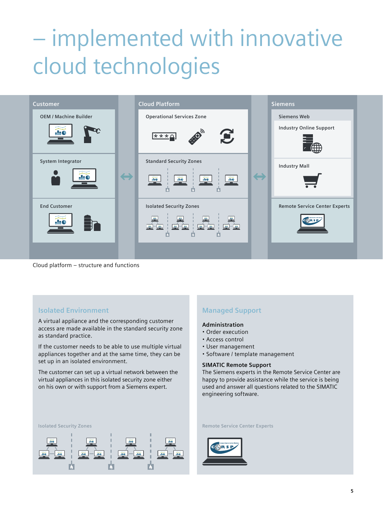## – implemented with innovative cloud technologies



Cloud platform – structure and functions

## **Isolated Environment**

A virtual appliance and the corresponding customer access are made available in the standard security zone as standard practice.

If the customer needs to be able to use multiple virtual appliances together and at the same time, they can be set up in an isolated environment.

The customer can set up a virtual network between the virtual appliances in this isolated security zone either on his own or with support from a Siemens expert.

## **Managed Support**

### **Administration**

- ٠ Order execution
- ٠ Access control
- ٠ User management
- ٠ Software / template management

## **SIMATIC Remote Support**

The Siemens experts in the Remote Service Center are happy to provide assistance while the service is being used and answer all questions related to the SIMATIC engineering software.



#### **Isolated Security Zones Remote Service Center Experts**

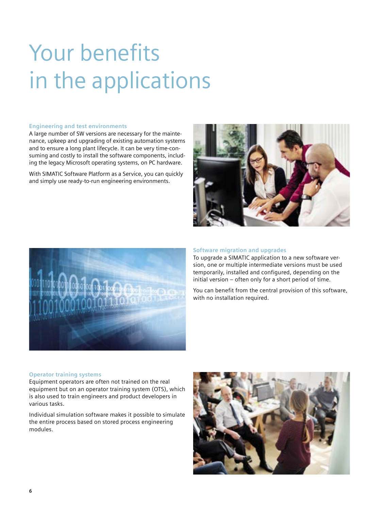# Your benefits in the applications

## **Engineering and test environments**

A large number of SW versions are necessary for the maintenance, upkeep and upgrading of existing automation systems and to ensure a long plant lifecycle. It can be very time-consuming and costly to install the software components, including the legacy Microsoft operating systems, on PC hardware.

With SIMATIC Software Platform as a Service, you can quickly and simply use ready-to-run engineering environments.





### **Software migration and upgrades**

To upgrade a SIMATIC application to a new software version, one or multiple intermediate versions must be used temporarily, installed and configured, depending on the initial version – often only for a short period of time.

You can benefit from the central provision of this software, with no installation required.

## **Operator training systems**

Equipment operators are often not trained on the real equipment but on an operator training system (OTS), which is also used to train engineers and product developers in various tasks.

Individual simulation software makes it possible to simulate the entire process based on stored process engineering modules.

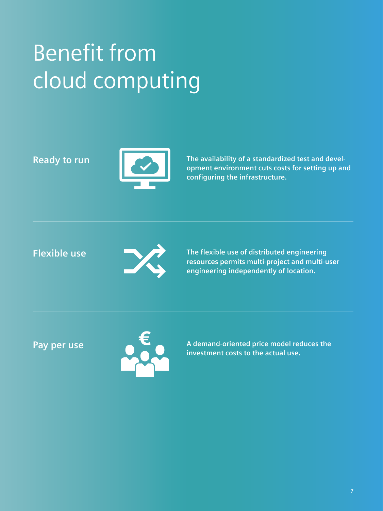# Benefit from cloud computing

## **Ready to run**



**The availability of a standardized test and development environment cuts costs for setting up and configuring the infrastructure.**

## **Flexible use**



**The flexible use of distributed engineering resources permits multi-project and multi-user engineering independently of location.**

**Pay per use** 



**A demand-oriented price model reduces the investment costs to the actual use.**